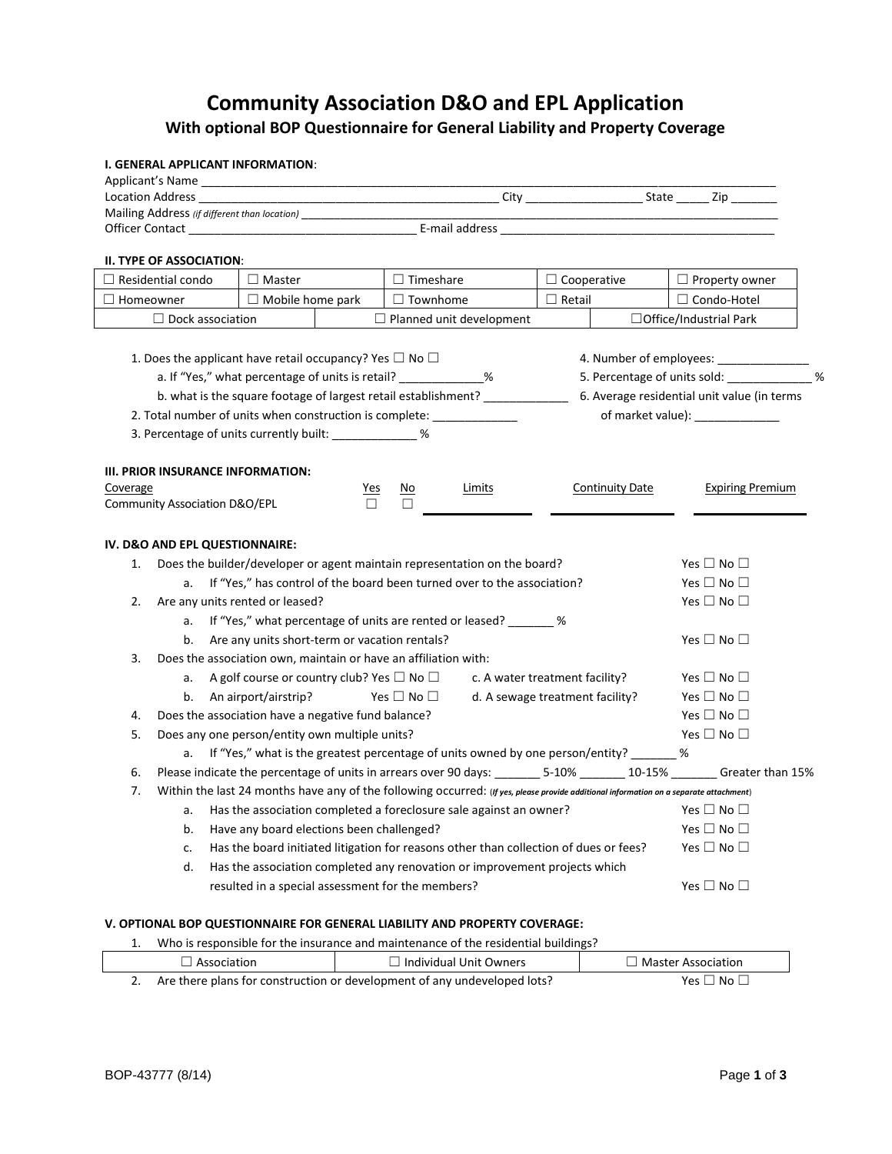## **Community Association D&O and EPL Application With optional BOP Questionnaire for General Liability and Property Coverage**

## **I. GENERAL APPLICANT INFORMATION**:

| Mailing Address (if different than location) ___________________________________ |                                                                                                                                        |                  |                                 |                                                        |  |                            |                                                                                                                        |  |  |  |
|----------------------------------------------------------------------------------|----------------------------------------------------------------------------------------------------------------------------------------|------------------|---------------------------------|--------------------------------------------------------|--|----------------------------|------------------------------------------------------------------------------------------------------------------------|--|--|--|
|                                                                                  |                                                                                                                                        |                  |                                 |                                                        |  |                            |                                                                                                                        |  |  |  |
| II. TYPE OF ASSOCIATION:                                                         |                                                                                                                                        |                  |                                 |                                                        |  |                            |                                                                                                                        |  |  |  |
| $\Box$ Master<br>$\Box$ Residential condo                                        |                                                                                                                                        | $\Box$ Timeshare |                                 | $\Box$ Cooperative                                     |  | $\Box$ Property owner      |                                                                                                                        |  |  |  |
| $\Box$ Homeowner                                                                 | $\Box$ Mobile home park                                                                                                                |                  |                                 | $\Box$ Townhome<br>$\Box$ Retail<br>$\Box$ Condo-Hotel |  |                            |                                                                                                                        |  |  |  |
| $\Box$ Dock association                                                          |                                                                                                                                        |                  | $\Box$ Planned unit development |                                                        |  |                            | $\Box$ Office/Industrial Park                                                                                          |  |  |  |
|                                                                                  |                                                                                                                                        |                  |                                 |                                                        |  |                            |                                                                                                                        |  |  |  |
| 1. Does the applicant have retail occupancy? Yes $\Box$ No $\Box$                |                                                                                                                                        |                  |                                 |                                                        |  |                            | 4. Number of employees: ________________                                                                               |  |  |  |
|                                                                                  | a. If "Yes," what percentage of units is retail? _____________%                                                                        |                  |                                 |                                                        |  |                            | %<br>5. Percentage of units sold:                                                                                      |  |  |  |
|                                                                                  | b. what is the square footage of largest retail establishment? ________________                                                        |                  |                                 |                                                        |  |                            | 6. Average residential unit value (in terms                                                                            |  |  |  |
| 2. Total number of units when construction is complete: _____________            |                                                                                                                                        |                  |                                 |                                                        |  |                            | of market value): ______________                                                                                       |  |  |  |
| 3. Percentage of units currently built: ______________%                          |                                                                                                                                        |                  |                                 |                                                        |  |                            |                                                                                                                        |  |  |  |
|                                                                                  |                                                                                                                                        |                  |                                 |                                                        |  |                            |                                                                                                                        |  |  |  |
| III. PRIOR INSURANCE INFORMATION:                                                |                                                                                                                                        |                  |                                 |                                                        |  |                            |                                                                                                                        |  |  |  |
| Coverage                                                                         |                                                                                                                                        | <u>Yes</u>       | <u>No</u>                       | Limits                                                 |  | <b>Continuity Date</b>     | <b>Expiring Premium</b>                                                                                                |  |  |  |
| Community Association D&O/EPL                                                    |                                                                                                                                        | П                | □                               |                                                        |  |                            |                                                                                                                        |  |  |  |
|                                                                                  |                                                                                                                                        |                  |                                 |                                                        |  |                            |                                                                                                                        |  |  |  |
| IV. D&O AND EPL QUESTIONNAIRE:                                                   |                                                                                                                                        |                  |                                 |                                                        |  |                            |                                                                                                                        |  |  |  |
| 1.                                                                               | Does the builder/developer or agent maintain representation on the board?                                                              |                  |                                 |                                                        |  |                            | Yes $\Box$ No $\Box$                                                                                                   |  |  |  |
| If "Yes," has control of the board been turned over to the association?<br>a.    |                                                                                                                                        |                  |                                 |                                                        |  | Yes $\square$ No $\square$ |                                                                                                                        |  |  |  |
| Are any units rented or leased?<br>2.                                            |                                                                                                                                        |                  |                                 | Yes $\Box$ No $\Box$                                   |  |                            |                                                                                                                        |  |  |  |
|                                                                                  | a. If "Yes," what percentage of units are rented or leased? _______ %                                                                  |                  |                                 |                                                        |  |                            |                                                                                                                        |  |  |  |
| b.                                                                               | Are any units short-term or vacation rentals?                                                                                          |                  |                                 |                                                        |  |                            | Yes $\Box$ No $\Box$                                                                                                   |  |  |  |
| 3.                                                                               | Does the association own, maintain or have an affiliation with:                                                                        |                  |                                 |                                                        |  |                            |                                                                                                                        |  |  |  |
| а.                                                                               | A golf course or country club? Yes $\Box$ No $\Box$                                                                                    |                  |                                 | c. A water treatment facility?                         |  |                            | Yes $\Box$ No $\Box$                                                                                                   |  |  |  |
| b.                                                                               | An airport/airstrip?                                                                                                                   |                  | Yes $\square$ No $\square$      | d. A sewage treatment facility?                        |  |                            | Yes $\Box$ No $\Box$                                                                                                   |  |  |  |
| 4.                                                                               | Does the association have a negative fund balance?                                                                                     |                  |                                 |                                                        |  |                            | Yes $\Box$ No $\Box$                                                                                                   |  |  |  |
| 5.                                                                               | Does any one person/entity own multiple units?                                                                                         |                  |                                 |                                                        |  |                            | Yes $\Box$ No $\Box$                                                                                                   |  |  |  |
|                                                                                  | a. If "Yes," what is the greatest percentage of units owned by one person/entity? _______ %                                            |                  |                                 |                                                        |  |                            |                                                                                                                        |  |  |  |
| 6.                                                                               |                                                                                                                                        |                  |                                 |                                                        |  |                            | Please indicate the percentage of units in arrears over 90 days: _______ 5-10% _______ 10-15% _______ Greater than 15% |  |  |  |
| 7.                                                                               | Within the last 24 months have any of the following occurred: (If yes, please provide additional information on a separate attachment) |                  |                                 |                                                        |  |                            |                                                                                                                        |  |  |  |
| а.                                                                               | Has the association completed a foreclosure sale against an owner?                                                                     |                  |                                 |                                                        |  |                            | Yes $\square$ No $\square$                                                                                             |  |  |  |
| b.                                                                               | Have any board elections been challenged?                                                                                              |                  |                                 |                                                        |  |                            | Yes $\square$ No $\square$                                                                                             |  |  |  |
| c.                                                                               | Has the board initiated litigation for reasons other than collection of dues or fees?                                                  |                  |                                 |                                                        |  |                            | Yes $\Box$ No $\Box$                                                                                                   |  |  |  |
| d.                                                                               | Has the association completed any renovation or improvement projects which                                                             |                  |                                 |                                                        |  |                            |                                                                                                                        |  |  |  |
|                                                                                  | resulted in a special assessment for the members?                                                                                      |                  |                                 |                                                        |  |                            | Yes $\square$ No $\square$                                                                                             |  |  |  |
|                                                                                  |                                                                                                                                        |                  |                                 |                                                        |  |                            |                                                                                                                        |  |  |  |
| V. OPTIONAL BOP QUESTIONNAIRE FOR GENERAL LIABILITY AND PROPERTY COVERAGE:       |                                                                                                                                        |                  |                                 |                                                        |  |                            |                                                                                                                        |  |  |  |

|  | Who is responsible for the insurance and maintenance of the residential buildings? |                               |                           |  |  |  |  |
|--|------------------------------------------------------------------------------------|-------------------------------|---------------------------|--|--|--|--|
|  | $\Box$ Association                                                                 | $\Box$ Individual Unit Owners | $\Box$ Master Association |  |  |  |  |
|  | 2. Are there plans for construction or development of any undeveloped lots?        | Yes $\Box$ No $\Box$          |                           |  |  |  |  |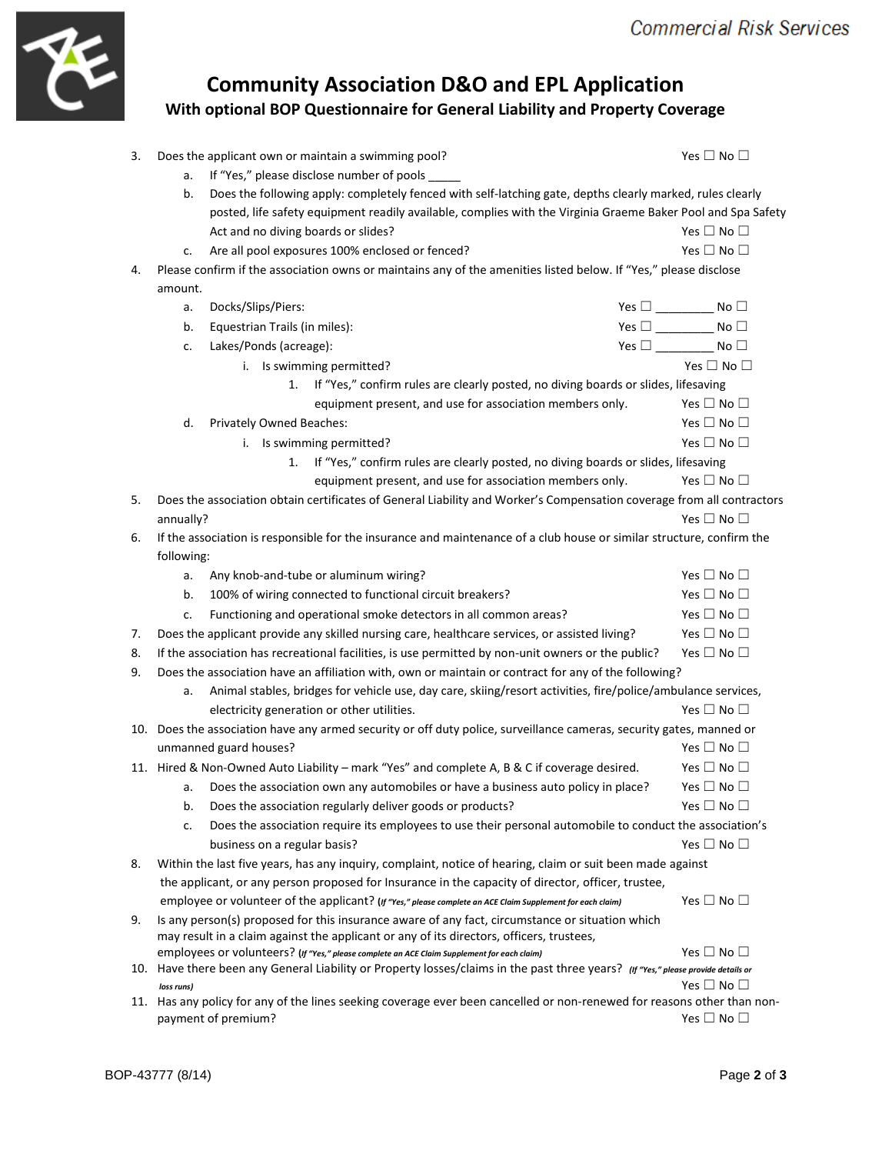

## **Community Association D&O and EPL Application With optional BOP Questionnaire for General Liability and Property Coverage**

| 3.                                                                                                                 | Does the applicant own or maintain a swimming pool?                                                                                                             |                                                                                                                                                                                             | Yes $\Box$ No $\Box$       |                            |  |  |  |  |
|--------------------------------------------------------------------------------------------------------------------|-----------------------------------------------------------------------------------------------------------------------------------------------------------------|---------------------------------------------------------------------------------------------------------------------------------------------------------------------------------------------|----------------------------|----------------------------|--|--|--|--|
|                                                                                                                    | a.                                                                                                                                                              | If "Yes," please disclose number of pools                                                                                                                                                   |                            |                            |  |  |  |  |
|                                                                                                                    | Does the following apply: completely fenced with self-latching gate, depths clearly marked, rules clearly<br>b.                                                 |                                                                                                                                                                                             |                            |                            |  |  |  |  |
|                                                                                                                    |                                                                                                                                                                 | posted, life safety equipment readily available, complies with the Virginia Graeme Baker Pool and Spa Safety                                                                                |                            |                            |  |  |  |  |
|                                                                                                                    |                                                                                                                                                                 | Act and no diving boards or slides?                                                                                                                                                         |                            | Yes $\Box$ No $\Box$       |  |  |  |  |
|                                                                                                                    | c.                                                                                                                                                              | Are all pool exposures 100% enclosed or fenced?                                                                                                                                             |                            | Yes $\Box$ No $\Box$       |  |  |  |  |
| 4.                                                                                                                 | Please confirm if the association owns or maintains any of the amenities listed below. If "Yes," please disclose                                                |                                                                                                                                                                                             |                            |                            |  |  |  |  |
|                                                                                                                    | amount.                                                                                                                                                         |                                                                                                                                                                                             |                            |                            |  |  |  |  |
|                                                                                                                    | a.                                                                                                                                                              | Docks/Slips/Piers:                                                                                                                                                                          | Yes $\square$ No $\square$ |                            |  |  |  |  |
|                                                                                                                    | b.                                                                                                                                                              | Equestrian Trails (in miles):                                                                                                                                                               | Yes $\square$ No $\square$ |                            |  |  |  |  |
|                                                                                                                    | c.                                                                                                                                                              | Lakes/Ponds (acreage):                                                                                                                                                                      | Yes $\square$ No $\square$ |                            |  |  |  |  |
|                                                                                                                    |                                                                                                                                                                 | i. Is swimming permitted?                                                                                                                                                                   |                            | Yes $\Box$ No $\Box$       |  |  |  |  |
| If "Yes," confirm rules are clearly posted, no diving boards or slides, lifesaving<br>1.                           |                                                                                                                                                                 |                                                                                                                                                                                             |                            |                            |  |  |  |  |
|                                                                                                                    |                                                                                                                                                                 | equipment present, and use for association members only.                                                                                                                                    |                            | Yes $\Box$ No $\Box$       |  |  |  |  |
|                                                                                                                    | d.                                                                                                                                                              | Privately Owned Beaches:                                                                                                                                                                    |                            | Yes $\Box$ No $\Box$       |  |  |  |  |
|                                                                                                                    |                                                                                                                                                                 | i. Is swimming permitted?                                                                                                                                                                   |                            | Yes $\square$ No $\square$ |  |  |  |  |
|                                                                                                                    |                                                                                                                                                                 | If "Yes," confirm rules are clearly posted, no diving boards or slides, lifesaving<br>1.                                                                                                    |                            |                            |  |  |  |  |
|                                                                                                                    |                                                                                                                                                                 | equipment present, and use for association members only.                                                                                                                                    |                            | Yes $\Box$ No $\Box$       |  |  |  |  |
| 5.                                                                                                                 |                                                                                                                                                                 | Does the association obtain certificates of General Liability and Worker's Compensation coverage from all contractors                                                                       |                            |                            |  |  |  |  |
|                                                                                                                    | annually?                                                                                                                                                       |                                                                                                                                                                                             |                            | Yes $\Box$ No $\Box$       |  |  |  |  |
| 6.                                                                                                                 |                                                                                                                                                                 | If the association is responsible for the insurance and maintenance of a club house or similar structure, confirm the                                                                       |                            |                            |  |  |  |  |
|                                                                                                                    | following:                                                                                                                                                      |                                                                                                                                                                                             |                            |                            |  |  |  |  |
|                                                                                                                    | a.                                                                                                                                                              | Any knob-and-tube or aluminum wiring?                                                                                                                                                       |                            | Yes $\Box$ No $\Box$       |  |  |  |  |
|                                                                                                                    | b.                                                                                                                                                              | 100% of wiring connected to functional circuit breakers?                                                                                                                                    |                            | Yes $\Box$ No $\Box$       |  |  |  |  |
|                                                                                                                    | c.                                                                                                                                                              | Functioning and operational smoke detectors in all common areas?                                                                                                                            |                            | Yes $\square$ No $\square$ |  |  |  |  |
| 7.                                                                                                                 | Does the applicant provide any skilled nursing care, healthcare services, or assisted living?                                                                   |                                                                                                                                                                                             |                            | Yes $\Box$ No $\Box$       |  |  |  |  |
| 8.                                                                                                                 | Yes $\Box$ No $\Box$<br>If the association has recreational facilities, is use permitted by non-unit owners or the public?                                      |                                                                                                                                                                                             |                            |                            |  |  |  |  |
| 9.                                                                                                                 | Does the association have an affiliation with, own or maintain or contract for any of the following?                                                            |                                                                                                                                                                                             |                            |                            |  |  |  |  |
| Animal stables, bridges for vehicle use, day care, skiing/resort activities, fire/police/ambulance services,<br>a. |                                                                                                                                                                 |                                                                                                                                                                                             |                            |                            |  |  |  |  |
|                                                                                                                    |                                                                                                                                                                 | electricity generation or other utilities.                                                                                                                                                  |                            | Yes $\Box$ No $\Box$       |  |  |  |  |
|                                                                                                                    |                                                                                                                                                                 | 10. Does the association have any armed security or off duty police, surveillance cameras, security gates, manned or                                                                        |                            |                            |  |  |  |  |
|                                                                                                                    |                                                                                                                                                                 | unmanned guard houses?                                                                                                                                                                      |                            | Yes $\square$ No $\square$ |  |  |  |  |
|                                                                                                                    |                                                                                                                                                                 | 11. Hired & Non-Owned Auto Liability - mark "Yes" and complete A, B & C if coverage desired.                                                                                                |                            | Yes $\square$ No $\square$ |  |  |  |  |
|                                                                                                                    | a.                                                                                                                                                              | Does the association own any automobiles or have a business auto policy in place?                                                                                                           |                            | Yes $\Box$ No $\Box$       |  |  |  |  |
|                                                                                                                    | b.                                                                                                                                                              | Does the association regularly deliver goods or products?                                                                                                                                   |                            | Yes $\Box$ No $\Box$       |  |  |  |  |
|                                                                                                                    | c.                                                                                                                                                              | Does the association require its employees to use their personal automobile to conduct the association's                                                                                    |                            |                            |  |  |  |  |
|                                                                                                                    |                                                                                                                                                                 | business on a regular basis?                                                                                                                                                                |                            | Yes $\square$ No $\square$ |  |  |  |  |
| 8.                                                                                                                 |                                                                                                                                                                 | Within the last five years, has any inquiry, complaint, notice of hearing, claim or suit been made against                                                                                  |                            |                            |  |  |  |  |
|                                                                                                                    |                                                                                                                                                                 | the applicant, or any person proposed for Insurance in the capacity of director, officer, trustee,                                                                                          |                            |                            |  |  |  |  |
|                                                                                                                    |                                                                                                                                                                 | employee or volunteer of the applicant? (If "Yes," please complete an ACE Claim Supplement for each claim)                                                                                  |                            | Yes $\Box$ No $\Box$       |  |  |  |  |
| 9.                                                                                                                 |                                                                                                                                                                 | Is any person(s) proposed for this insurance aware of any fact, circumstance or situation which<br>may result in a claim against the applicant or any of its directors, officers, trustees, |                            |                            |  |  |  |  |
|                                                                                                                    |                                                                                                                                                                 | employees or volunteers? (If "Yes," please complete an ACE Claim Supplement for each claim)                                                                                                 |                            | Yes $\Box$ No $\Box$       |  |  |  |  |
|                                                                                                                    | 10. Have there been any General Liability or Property losses/claims in the past three years? (If "Yes," please provide details or<br>Yes $\square$ No $\square$ |                                                                                                                                                                                             |                            |                            |  |  |  |  |
|                                                                                                                    | loss runs)                                                                                                                                                      | 11. Has any policy for any of the lines seeking coverage ever been cancelled or non-renewed for reasons other than non-                                                                     |                            |                            |  |  |  |  |
|                                                                                                                    | payment of premium?                                                                                                                                             | Yes $\square$ No $\square$                                                                                                                                                                  |                            |                            |  |  |  |  |